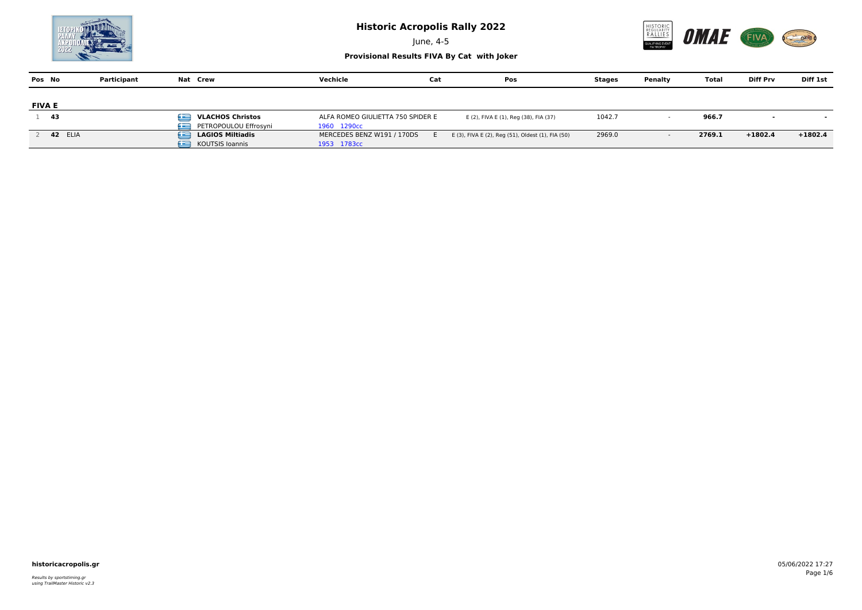June, 4-5



| Pos No        | Participant    | Nat Crew                                                   | Vechicle                                         | Cat | Pos                                               | Stages | Penalty | Total  | <b>Diff Prv</b> | Diff 1st  |
|---------------|----------------|------------------------------------------------------------|--------------------------------------------------|-----|---------------------------------------------------|--------|---------|--------|-----------------|-----------|
| <b>FIVA E</b> |                |                                                            |                                                  |     |                                                   |        |         |        |                 |           |
| 43            |                | œ<br><b>VLACHOS Christos</b><br>PETROPOULOU Effrosyni<br>œ | ALFA ROMEO GIULIETTA 750 SPIDER E<br>1960 1290cc |     | E (2), FIVA E (1), Reg (38), FIA (37)             | 1042.7 |         | 966.7  |                 |           |
|               | <b>42 ELIA</b> | œ<br><b>LAGIOS Miltiadis</b><br><b>KOUTSIS Ioannis</b>     | MERCEDES BENZ W191 / 170DS<br>1953 1783cc        |     | E (3), FIVA E (2), Reg (51), Oldest (1), FIA (50) | 2969.0 |         | 2769.1 | $+1802.4$       | $+1802.4$ |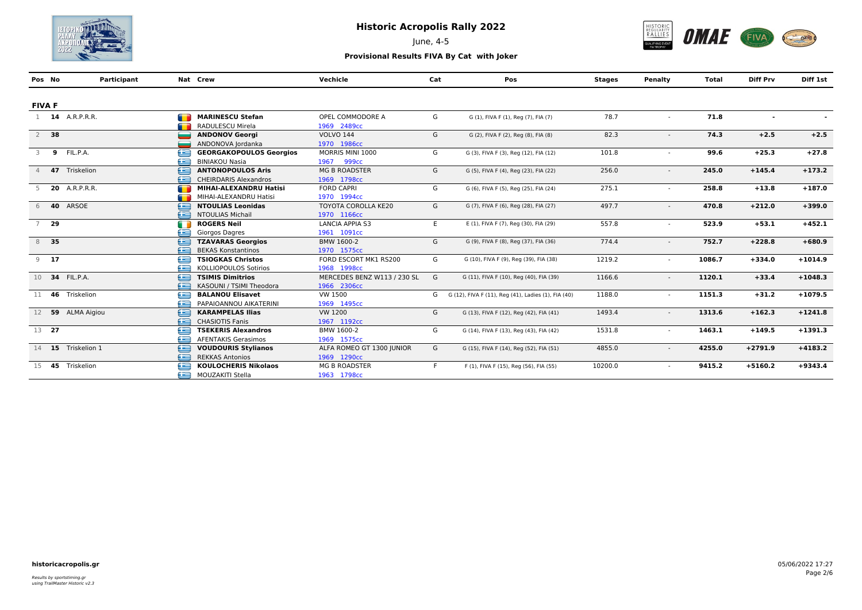

June, 4-5



| Pos No         |        | Participant            |   | Nat Crew                       | Vechicle                    | Cat | Pos                                                 | <b>Stages</b> | Penalty                  | <b>Total</b> | <b>Diff Prv</b> | Diff 1st  |
|----------------|--------|------------------------|---|--------------------------------|-----------------------------|-----|-----------------------------------------------------|---------------|--------------------------|--------------|-----------------|-----------|
|                |        |                        |   |                                |                             |     |                                                     |               |                          |              |                 |           |
| <b>FIVA F</b>  |        |                        |   |                                |                             |     |                                                     |               |                          |              |                 |           |
|                |        | 1 <b>14</b> A.R.P.R.R. | m | <b>MARINESCU Stefan</b>        | OPEL COMMODORE A            | G   | G (1), FIVA F (1), Reg (7), FIA (7)                 | 78.7          | $\sim$                   | 71.8         | $\blacksquare$  |           |
|                |        |                        |   | RADULESCU Mirela               | 1969 2489cc                 |     |                                                     |               |                          |              |                 |           |
|                | $2$ 38 |                        | ÷ | <b>ANDONOV Georgi</b>          | <b>VOLVO 144</b>            | G   | G (2), FIVA F (2), Reg (8), FIA (8)                 | 82.3          |                          | 74.3         | $+2.5$          | $+2.5$    |
|                |        |                        |   | ANDONOVA Jordanka              | 1970 1986cc                 |     |                                                     |               |                          |              |                 |           |
| 3              | 9      | FIL.P.A.               | Œ | <b>GEORGAKOPOULOS Georgios</b> | MORRIS MINI 1000            | G   | G (3), FIVA F (3), Reg (12), FIA (12)               | 101.8         |                          | 99.6         | $+25.3$         | $+27.8$   |
|                |        |                        | £ | <b>BINIAKOU Nasia</b>          | 1967<br>999 <sub>cc</sub>   |     |                                                     |               |                          |              |                 |           |
|                |        | 47 Triskelion          | e | <b>ANTONOPOULOS Aris</b>       | <b>MG B ROADSTER</b>        | G   | G (5), FIVA F (4), Reg (23), FIA (22)               | 256.0         | $\overline{\phantom{a}}$ | 245.0        | $+145.4$        | $+173.2$  |
|                |        |                        | £ | <b>CHEIRDARIS Alexandros</b>   | 1969 1798cc                 |     |                                                     |               |                          |              |                 |           |
|                |        | <b>20</b> A.R.P.R.R.   | m | MIHAI-ALEXANDRU Hatisi         | <b>FORD CAPRI</b>           | G   | G (6), FIVA F (5), Reg (25), FIA (24)               | 275.1         | $\sim$                   | 258.8        | $+13.8$         | $+187.0$  |
|                |        |                        |   | MIHAI-ALEXANDRU Hatisi         | 1970 1994cc                 |     |                                                     |               |                          |              |                 |           |
| 6              |        | 40 ARSOE               | ≘ | <b>NTOULIAS Leonidas</b>       | <b>TOYOTA COROLLA KE20</b>  | G   | G (7), FIVA F (6), Reg (28), FIA (27)               | 497.7         | $\overline{\phantom{a}}$ | 470.8        | $+212.0$        | $+399.0$  |
|                |        |                        | œ | <b>NTOULIAS Michail</b>        | 1970 1166cc                 |     |                                                     |               |                          |              |                 |           |
| $\overline{7}$ | 29     |                        | Œ | <b>ROGERS Neil</b>             | <b>LANCIA APPIA S3</b>      | E   | E (1), FIVA F (7), Reg (30), FIA (29)               | 557.8         | $\overline{\phantom{a}}$ | 523.9        | $+53.1$         | $+452.1$  |
|                |        |                        | æ | Giorgos Dagres                 | 1961 1091cc                 |     |                                                     |               |                          |              |                 |           |
|                | 8 35   |                        | £ | <b>TZAVARAS Georgios</b>       | BMW 1600-2                  | G   | G (9), FIVA F (8), Reg (37), FIA (36)               | 774.4         |                          | 752.7        | $+228.8$        | $+680.9$  |
|                |        |                        | æ | <b>BEKAS Konstantinos</b>      | 1970 1575cc                 |     |                                                     |               |                          |              |                 |           |
|                | $9$ 17 |                        | £ | <b>TSIOGKAS Christos</b>       | FORD ESCORT MK1 RS200       | G   | G (10), FIVA F (9), Reg (39), FIA (38)              | 1219.2        |                          | 1086.7       | $+334.0$        | $+1014.9$ |
|                |        |                        | £ | <b>KOLLIOPOULOS Sotirios</b>   | 1968 1998cc                 |     |                                                     |               |                          |              |                 |           |
|                |        | 10 34 FIL.P.A.         | e | <b>TSIMIS Dimitrios</b>        | MERCEDES BENZ W113 / 230 SL | G   | G (11), FIVA F (10), Reg (40), FIA (39)             | 1166.6        |                          | 1120.1       | $+33.4$         | $+1048.3$ |
|                |        |                        | £ | KASOUNI / TSIMI Theodora       | 1966 2306cc                 |     |                                                     |               |                          |              |                 |           |
|                |        | 11 46 Triskelion       | Œ | <b>BALANOU Elisavet</b>        | VW 1500                     | G   | G (12), FIVA F (11), Reg (41), Ladies (1), FIA (40) | 1188.0        | $\sim$                   | 1151.3       | $+31.2$         | $+1079.5$ |
|                |        |                        | £ | PAPAIOANNOU AIKATERINI         | 1969 1495cc                 |     |                                                     |               |                          |              |                 |           |
|                |        | 12 59 ALMA Aigiou      | £ | <b>KARAMPELAS Ilias</b>        | VW 1200                     | G   | G (13), FIVA F (12), Reg (42), FIA (41)             | 1493.4        |                          | 1313.6       | $+162.3$        | $+1241.8$ |
|                |        |                        | æ | <b>CHASIOTIS Fanis</b>         | 1967 1192cc                 |     |                                                     |               |                          |              |                 |           |
| 13 27          |        |                        | e | <b>TSEKERIS Alexandros</b>     | BMW 1600-2                  | G   | G (14), FIVA F (13), Reg (43), FIA (42)             | 1531.8        |                          | 1463.1       | $+149.5$        | $+1391.3$ |
|                |        |                        | æ | <b>AFENTAKIS Gerasimos</b>     | 1969 1575cc                 |     |                                                     |               |                          |              |                 |           |
|                |        | 14 15 Triskelion 1     | £ | <b>VOUDOURIS Stylianos</b>     | ALFA ROMEO GT 1300 JUNIOR   | G   | G (15), FIVA F (14), Reg (52), FIA (51)             | 4855.0        | $\overline{\phantom{a}}$ | 4255.0       | $+2791.9$       | $+4183.2$ |
|                |        |                        | £ | <b>REKKAS Antonios</b>         | 1969 1290cc                 |     |                                                     |               |                          |              |                 |           |
| 15             | 45     | Triskelion             | Œ | <b>KOULOCHERIS Nikolaos</b>    | <b>MG B ROADSTER</b>        | F.  | F (1), FIVA F (15), Reg (56), FIA (55)              | 10200.0       |                          | 9415.2       | $+5160.2$       | $+9343.4$ |
|                |        |                        | £ | MOUZAKITI Stella               | 1963 1798cc                 |     |                                                     |               |                          |              |                 |           |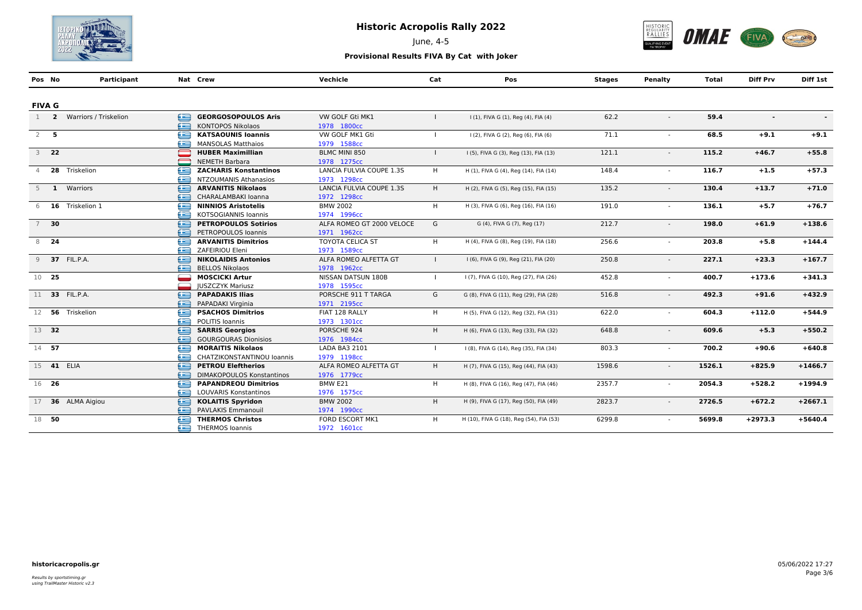

June, 4-5



| Pos No         |        | Participant             |    | Nat Crew                         | Vechicle                  | Cat          | Pos                                     | <b>Stages</b> | Penalty                  | Total  | <b>Diff Prv</b> | Diff 1st  |
|----------------|--------|-------------------------|----|----------------------------------|---------------------------|--------------|-----------------------------------------|---------------|--------------------------|--------|-----------------|-----------|
|                |        |                         |    |                                  |                           |              |                                         |               |                          |        |                 |           |
| <b>FIVA G</b>  |        |                         |    |                                  |                           |              |                                         |               |                          |        |                 |           |
| 1              |        | 2 Warriors / Triskelion | œ  | <b>GEORGOSOPOULOS Aris</b>       | VW GOLF Gti MK1           |              | I (1), FIVA G (1), Reg (4), FIA (4)     | 62.2          | $\overline{\phantom{a}}$ | 59.4   | $\blacksquare$  |           |
|                |        |                         | æ  | <b>KONTOPOS Nikolaos</b>         | 1978 1800cc               |              |                                         |               |                          |        |                 |           |
| $2$ 5          |        |                         | £  | <b>KATSAOUNIS Ioannis</b>        | VW GOLF MK1 Gti           | $\mathbf{I}$ | I (2), FIVA G (2), Reg (6), FIA (6)     | 71.1          |                          | 68.5   | $+9.1$          | $+9.1$    |
|                |        |                         |    | <b>MANSOLAS Matthaios</b>        | 1979 1588cc               |              |                                         |               |                          |        |                 |           |
|                | $3$ 22 |                         |    | <b>HUBER Maximillian</b>         | BLMC MINI 850             |              | I (5), FIVA G (3), Reg (13), FIA (13)   | 121.1         | $\overline{a}$           | 115.2  | $+46.7$         | $+55.8$   |
|                |        |                         |    | <b>NEMETH Barbara</b>            | 1978 1275cc               |              |                                         |               |                          |        |                 |           |
| $\overline{4}$ |        | 28 Triskelion           | e  | <b>ZACHARIS Konstantinos</b>     | LANCIA FULVIA COUPE 1.3S  | H            | H (1), FIVA G (4), Reg (14), FIA (14)   | 148.4         | $\sim$                   | 116.7  | $+1.5$          | $+57.3$   |
|                |        |                         | æ  | NTZOUMANIS Athanasios            | 1973 1298cc               |              |                                         |               |                          |        |                 |           |
|                |        | 5 1 Warriors            | ≘  | <b>ARVANITIS Nikolaos</b>        | LANCIA FULVIA COUPE 1.3S  | H.           | H (2), FIVA G (5), Reg (15), FIA (15)   | 135.2         |                          | 130.4  | $+13.7$         | $+71.0$   |
|                |        |                         | æ  | CHARALAMBAKI Ioanna              | 1972 1298cc               |              |                                         |               |                          |        |                 |           |
|                |        | 6 16 Triskelion 1       | £  | <b>NINNIOS Aristotelis</b>       | <b>BMW 2002</b>           | H.           | H (3), FIVA G (6), Reg (16), FIA (16)   | 191.0         | $\sim$                   | 136.1  | $+5.7$          | $+76.7$   |
|                |        |                         | æ  | KOTSOGIANNIS Ioannis             | 1974 1996сс               |              |                                         |               |                          |        |                 |           |
|                | $7$ 30 |                         | ⊜  | <b>PETROPOULOS Sotirios</b>      | ALFA ROMEO GT 2000 VELOCE | G            | G (4), FIVA G (7), Reg (17)             | 212.7         | $\sim$                   | 198.0  | $+61.9$         | $+138.6$  |
|                |        |                         | £  | PETROPOULOS Ioannis              | 1971 1962cc               |              |                                         |               |                          |        |                 |           |
|                | 8 24   |                         | Æ  | <b>ARVANITIS Dimitrios</b>       | <b>TOYOTA CELICA ST</b>   | H            | H (4), FIVA G (8), Reg (19), FIA (18)   | 256.6         | $\sim$                   | 203.8  | $+5.8$          | $+144.4$  |
|                |        |                         | æ  | ZAFEIRIOU Eleni                  | 1973 1589cc               |              |                                         |               |                          |        |                 |           |
|                |        | 9 37 FIL.P.A.           | ∈  | <b>NIKOLAIDIS Antonios</b>       | ALFA ROMEO ALFETTA GT     | $\mathbf{L}$ | I (6), FIVA G (9), Reg (21), FIA (20)   | 250.8         |                          | 227.1  | $+23.3$         | $+167.7$  |
|                |        |                         | صه | <b>BELLOS Nikolaos</b>           | 1978 1962cc               |              |                                         |               |                          |        |                 |           |
| 10 25          |        |                         |    | <b>MOSCICKI Artur</b>            | <b>NISSAN DATSUN 180B</b> | $\mathbf{I}$ | I (7), FIVA G (10), Reg (27), FIA (26)  | 452.8         |                          | 400.7  | $+173.6$        | $+341.3$  |
|                |        |                         |    | <b>IUSZCZYK Mariusz</b>          | 1978 1595cc               |              |                                         |               |                          |        |                 |           |
|                |        | 11 33 FIL.P.A.          | œ  | <b>PAPADAKIS Ilias</b>           | PORSCHE 911 T TARGA       | G            | G (8), FIVA G (11), Reg (29), FIA (28)  | 516.8         | $\overline{\phantom{a}}$ | 492.3  | $+91.6$         | $+432.9$  |
|                |        |                         | æ  | PAPADAKI Virginia                | 1971 2195cc               |              |                                         |               |                          |        |                 |           |
|                |        | 12 56 Triskelion        | £  | <b>PSACHOS Dimitrios</b>         | FIAT 128 RALLY            | H            | H (5), FIVA G (12), Reg (32), FIA (31)  | 622.0         |                          | 604.3  | $+112.0$        | $+544.9$  |
|                |        |                         | æ  | <b>POLITIS Ioannis</b>           | 1973 1301cc               |              |                                         |               |                          |        |                 |           |
| 13 32          |        |                         | ≘  | <b>SARRIS Georgios</b>           | PORSCHE 924               | H.           | H (6), FIVA G (13), Reg (33), FIA (32)  | 648.8         |                          | 609.6  | $+5.3$          | $+550.2$  |
|                |        |                         | æ  | <b>GOURGOURAS Dionisios</b>      | 1976 1984cc               |              |                                         |               |                          |        |                 |           |
| 14 57          |        |                         | œ  | <b>MORAITIS Nikolaos</b>         | LADA BA3 2101             | $\mathbf{L}$ | I (8), FIVA G (14), Reg (35), FIA (34)  | 803.3         |                          | 700.2  | $+90.6$         | $+640.8$  |
|                |        |                         | æ  | CHATZIKONSTANTINOU Ioannis       | 1979 1198cc               |              |                                         |               |                          |        |                 |           |
|                |        | 15 41 ELIA              | ∈  | <b>PETROU Eleftherios</b>        | ALFA ROMEO ALFETTA GT     | H            | H (7), FIVA G (15), Reg (44), FIA (43)  | 1598.6        | $\sim$                   | 1526.1 | $+825.9$        | $+1466.7$ |
|                |        |                         | æ  | <b>DIMAKOPOULOS Konstantinos</b> | 1976 1779cc               |              |                                         |               |                          |        |                 |           |
| 16 26          |        |                         | e  | <b>PAPANDREOU Dimitrios</b>      | BMW E21                   | H            | H (8), FIVA G (16), Reg (47), FIA (46)  | 2357.7        |                          | 2054.3 | $+528.2$        | $+1994.9$ |
|                |        |                         | æ  | <b>LOUVARIS Konstantinos</b>     | 1976 1575cc               |              |                                         |               |                          |        |                 |           |
|                |        | 17 36 ALMA Aigiou       | ≘  | <b>KOLAITIS Spyridon</b>         | <b>BMW 2002</b>           | H            | H (9), FIVA G (17), Reg (50), FIA (49)  | 2823.7        |                          | 2726.5 | $+672.2$        | $+2667.1$ |
|                |        |                         | æ  | PAVLAKIS Emmanouil               | 1974 1990cc               |              |                                         |               |                          |        |                 |           |
|                | 18 50  |                         | œ  | <b>THERMOS Christos</b>          | FORD ESCORT MK1           | H            | H (10), FIVA G (18), Reg (54), FIA (53) | 6299.8        |                          | 5699.8 | $+2973.3$       | $+5640.4$ |
|                |        |                         |    | THERMOS Ioannis                  | 1972 1601cc               |              |                                         |               |                          |        |                 |           |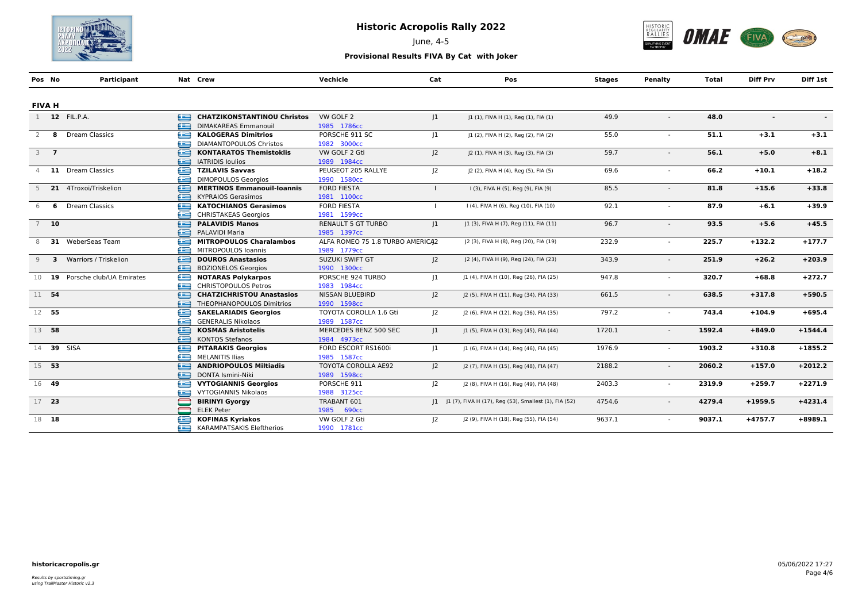

June, 4-5



| Pos No           | Participant                    |       | Nat Crew                           | Vechicle                         | Cat            | Pos                                                     | <b>Stages</b> | Penalty                  | Total  | <b>Diff Prv</b>          | Diff 1st  |
|------------------|--------------------------------|-------|------------------------------------|----------------------------------|----------------|---------------------------------------------------------|---------------|--------------------------|--------|--------------------------|-----------|
|                  |                                |       |                                    |                                  |                |                                                         |               |                          |        |                          |           |
| <b>FIVA H</b>    |                                |       |                                    |                                  |                |                                                         |               |                          |        |                          |           |
|                  | 1 12 FIL.P.A.                  | ఆ     | <b>CHATZIKONSTANTINOU Christos</b> | VW GOLF 2                        | 1              | J1 (1), FIVA H (1), Reg (1), FIA (1)                    | 49.9          | $\overline{\phantom{a}}$ | 48.0   | $\overline{\phantom{a}}$ |           |
|                  |                                | œ     | <b>DIMAKAREAS Emmanouil</b>        | 1985 1786cc                      |                |                                                         |               |                          |        |                          |           |
| 2                | 8 Dream Classics               | £     | <b>KALOGERAS Dimitrios</b>         | PORSCHE 911 SC                   | 1              | J1 (2), FIVA H (2), Reg (2), FIA (2)                    | 55.0          |                          | 51.1   | $+3.1$                   | $+3.1$    |
|                  |                                | æ     | <b>DIAMANTOPOULOS Christos</b>     | 1982 3000cc                      |                |                                                         |               |                          |        |                          |           |
| $3 \overline{7}$ |                                | ≘     | <b>KONTARATOS Themistoklis</b>     | VW GOLF 2 Gti                    | J <sub>2</sub> | J2 (1), FIVA H (3), Reg (3), FIA (3)                    | 59.7          |                          | 56.1   | $+5.0$                   | $+8.1$    |
|                  |                                | æ     | <b>IATRIDIS loulios</b>            | 1989 1984cc                      |                |                                                         |               |                          |        |                          |           |
| $\overline{4}$   | 11 Dream Classics              | e     | <b>TZILAVIS Savvas</b>             | PEUGEOT 205 RALLYE               | 2              | J2 (2), FIVA H (4), Reg (5), FIA (5)                    | 69.6          |                          | 66.2   | $+10.1$                  | $+18.2$   |
|                  |                                | æ     | <b>DIMOPOULOS Georgios</b>         | 1990 1580cc                      |                |                                                         |               |                          |        |                          |           |
|                  | 5 21 4Troxoi/Triskelion        | ≘     | <b>MERTINOS Emmanouil-Ioannis</b>  | <b>FORD FIESTA</b>               |                | I (3), FIVA H (5), Reg (9), FIA (9)                     | 85.5          |                          | 81.8   | $+15.6$                  | $+33.8$   |
|                  |                                | æ     | <b>KYPRAIOS Gerasimos</b>          | 1981 1100cc                      |                |                                                         |               |                          |        |                          |           |
| 6                | <b>6</b> Dream Classics        | ∈     | <b>KATOCHIANOS Gerasimos</b>       | <b>FORD FIESTA</b>               |                | I (4), FIVA H (6), Reg (10), FIA (10)                   | 92.1          |                          | 87.9   | $+6.1$                   | $+39.9$   |
|                  |                                | æ     | <b>CHRISTAKEAS Georgios</b>        | 1981 1599cc                      |                |                                                         |               |                          |        |                          |           |
| $7$ 10           |                                | ∈     | <b>PALAVIDIS Manos</b>             | <b>RENAULT 5 GT TURBO</b>        | 1              | J1 (3), FIVA H (7), Reg (11), FIA (11)                  | 96.7          |                          | 93.5   | $+5.6$                   | $+45.5$   |
|                  |                                | $f =$ | PALAVIDI Maria                     | 1985 1397cc                      |                |                                                         |               |                          |        |                          |           |
| 8                | 31 WeberSeas Team              | œ     | <b>MITROPOULOS Charalambos</b>     | ALFA ROMEO 75 1.8 TURBO AMERICA2 |                | [2 (3), FIVA H (8), Reg (20), FIA (19)                  | 232.9         | $\sim$                   | 225.7  | $+132.2$                 | $+177.7$  |
|                  |                                | æ     | MITROPOULOS Ioannis                | 1989 1779cc                      |                |                                                         |               |                          |        |                          |           |
|                  | 9 3 Warriors / Triskelion      | £     | <b>DOUROS Anastasios</b>           | SUZUKI SWIFT GT                  | 2              | J2 (4), FIVA H (9), Reg (24), FIA (23)                  | 343.9         |                          | 251.9  | $+26.2$                  | $+203.9$  |
|                  |                                | æ     | <b>BOZIONELOS Georgios</b>         | 1990 1300cc                      |                |                                                         |               |                          |        |                          |           |
|                  | 10 19 Porsche club/UA Emirates | e     | <b>NOTARAS Polykarpos</b>          | PORSCHE 924 TURBO                | 1              | J1 (4), FIVA H (10), Reg (26), FIA (25)                 | 947.8         |                          | 320.7  | $+68.8$                  | $+272.7$  |
|                  |                                | æ     | <b>CHRISTOPOULOS Petros</b>        | 1983 1984cc                      |                |                                                         |               |                          |        |                          |           |
| 11 54            |                                | ∈     | <b>CHATZICHRISTOU Anastasios</b>   | <b>NISSAN BLUEBIRD</b>           | 2              | J2 (5), FIVA H (11), Reg (34), FIA (33)                 | 661.5         | $\sim$                   | 638.5  | $+317.8$                 | $+590.5$  |
|                  |                                | æ     | THEOPHANOPOULOS Dimitrios          | 1990 1598cc                      |                |                                                         |               |                          |        |                          |           |
| 12 55            |                                | Æ     | <b>SAKELARIADIS Georgios</b>       | TOYOTA COROLLA 1.6 Gti           | 2              | J2 (6), FIVA H (12), Reg (36), FIA (35)                 | 797.2         |                          | 743.4  | $+104.9$                 | $+695.4$  |
|                  |                                | æ     | <b>GENERALIS Nikolaos</b>          | 1989 1587cc                      |                |                                                         |               |                          |        |                          |           |
| 13 58            |                                | ∈     | <b>KOSMAS Aristotelis</b>          | MERCEDES BENZ 500 SEC            | 1              | J1 (5), FIVA H (13), Reg (45), FIA (44)                 | 1720.1        |                          | 1592.4 | $+849.0$                 | $+1544.4$ |
|                  |                                | æ     | <b>KONTOS Stefanos</b>             | 1984 4973cc                      |                |                                                         |               |                          |        |                          |           |
|                  | 14 39 SISA                     | e     | <b>PITARAKIS Georgios</b>          | FORD ESCORT RS1600i              | 1              | J1 (6), FIVA H (14), Reg (46), FIA (45)                 | 1976.9        |                          | 1903.2 | $+310.8$                 | $+1855.2$ |
|                  |                                | æ     | <b>MELANITIS Ilias</b>             | 1985 1587cc                      |                |                                                         |               |                          |        |                          |           |
| 15 53            |                                | ∈     | <b>ANDRIOPOULOS Miltiadis</b>      | <b>TOYOTA COROLLA AE92</b>       | 2              | [2 (7), FIVA H (15), Reg (48), FIA (47)                 | 2188.2        | $\sim$                   | 2060.2 | $+157.0$                 | $+2012.2$ |
|                  |                                | £     | DONTA Ismini-Niki                  | 1989 1598cc                      |                |                                                         |               |                          |        |                          |           |
| 16 49            |                                | £     | <b>VYTOGIANNIS Georgios</b>        | PORSCHE 911                      | $ 2\rangle$    | J2 (8), FIVA H (16), Reg (49), FIA (48)                 | 2403.3        | $\sim$                   | 2319.9 | $+259.7$                 | $+2271.9$ |
|                  |                                | æ     | <b>VYTOGIANNIS Nikolaos</b>        | 1988 3125cc                      |                |                                                         |               |                          |        |                          |           |
| 17 23            |                                |       | <b>BIRINYI Gyorgy</b>              | TRABANT 601                      |                | 1  1 (7), FIVA H (17), Reg (53), Smallest (1), FIA (52) | 4754.6        |                          | 4279.4 | $+1959.5$                | $+4231.4$ |
|                  |                                |       | <b>ELEK Peter</b>                  | 1985 690cc                       |                |                                                         |               |                          |        |                          |           |
| 18 18            |                                | œ     | <b>KOFINAS Kyriakos</b>            | VW GOLF 2 Gti                    | $ 2\rangle$    | J2 (9), FIVA H (18), Reg (55), FIA (54)                 | 9637.1        |                          | 9037.1 | $+4757.7$                | $+8989.1$ |
|                  |                                |       | <b>Example TSAKIS</b> Eleftherios  | 1990 1781cc                      |                |                                                         |               |                          |        |                          |           |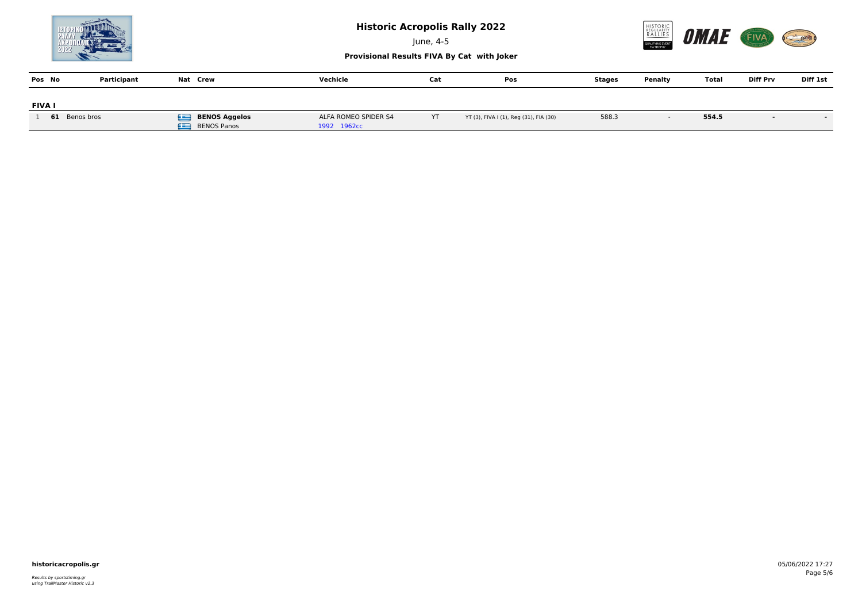

June, 4-5



**Provisional Results FIVA By Cat with Joker**

| Pos No        | Participant   | Nat Crew                                      | Vechicle                            | Cat | Pos                                    | Stages | Penalty | Total | <b>Diff Prv</b> | Diff 1st |
|---------------|---------------|-----------------------------------------------|-------------------------------------|-----|----------------------------------------|--------|---------|-------|-----------------|----------|
| <b>FIVA I</b> |               |                                               |                                     |     |                                        |        |         |       |                 |          |
|               | 61 Benos bros | Œ<br>BENOS Aggelos<br>Æ<br><b>BENOS Panos</b> | ALFA ROMEO SPIDER S4<br>1992 1962cc | YT  | YT (3), FIVA I (1), Reg (31), FIA (30) | 588.3  |         | 554.5 |                 |          |

### **historicacropolis.gr** 05/06/2022 17:27

Results by sportstiming.gr using TrailMaster Historic v2.3